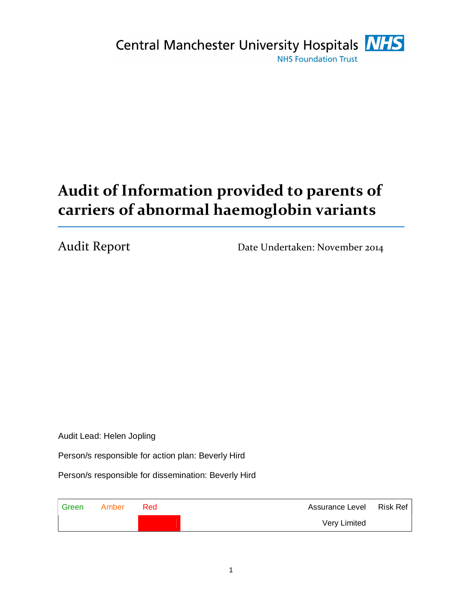

# **Audit of Information provided to parents of carriers of abnormal haemoglobin variants**

Audit Report Date Undertaken: November 2014

Audit Lead: Helen Jopling

Person/s responsible for action plan: Beverly Hird

Person/s responsible for dissemination: Beverly Hird

| Green | Amber | Red | Assurance Level Risk Ref |  |
|-------|-------|-----|--------------------------|--|
|       |       |     | Very Limited             |  |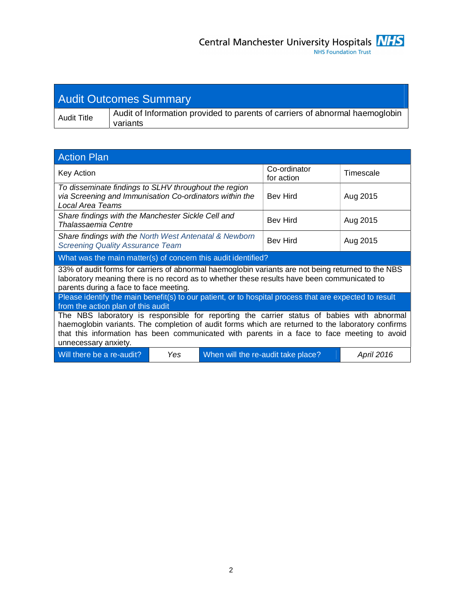| <b>Audit Outcomes Summary</b> |                                                                                          |  |
|-------------------------------|------------------------------------------------------------------------------------------|--|
| <b>Audit Title</b>            | Audit of Information provided to parents of carriers of abnormal haemoglobin<br>variants |  |

| <b>Action Plan</b>                                                                                                                                                                                                                                                                                                     |     |                                    |                            |            |
|------------------------------------------------------------------------------------------------------------------------------------------------------------------------------------------------------------------------------------------------------------------------------------------------------------------------|-----|------------------------------------|----------------------------|------------|
| <b>Key Action</b>                                                                                                                                                                                                                                                                                                      |     |                                    | Co-ordinator<br>for action | Timescale  |
| To disseminate findings to SLHV throughout the region<br>via Screening and Immunisation Co-ordinators within the<br>Local Area Teams                                                                                                                                                                                   |     |                                    | Bev Hird                   | Aug 2015   |
| Share findings with the Manchester Sickle Cell and<br>Thalassaemia Centre                                                                                                                                                                                                                                              |     |                                    | Bev Hird                   | Aug 2015   |
| Share findings with the North West Antenatal & Newborn<br><b>Screening Quality Assurance Team</b>                                                                                                                                                                                                                      |     |                                    | <b>Bev Hird</b>            | Aug 2015   |
| What was the main matter(s) of concern this audit identified?                                                                                                                                                                                                                                                          |     |                                    |                            |            |
| 33% of audit forms for carriers of abnormal haemoglobin variants are not being returned to the NBS<br>laboratory meaning there is no record as to whether these results have been communicated to<br>parents during a face to face meeting.                                                                            |     |                                    |                            |            |
| Please identify the main benefit(s) to our patient, or to hospital process that are expected to result<br>from the action plan of this audit                                                                                                                                                                           |     |                                    |                            |            |
| The NBS laboratory is responsible for reporting the carrier status of babies with abnormal<br>haemoglobin variants. The completion of audit forms which are returned to the laboratory confirms<br>that this information has been communicated with parents in a face to face meeting to avoid<br>unnecessary anxiety. |     |                                    |                            |            |
| Will there be a re-audit?                                                                                                                                                                                                                                                                                              | Yes | When will the re-audit take place? |                            | April 2016 |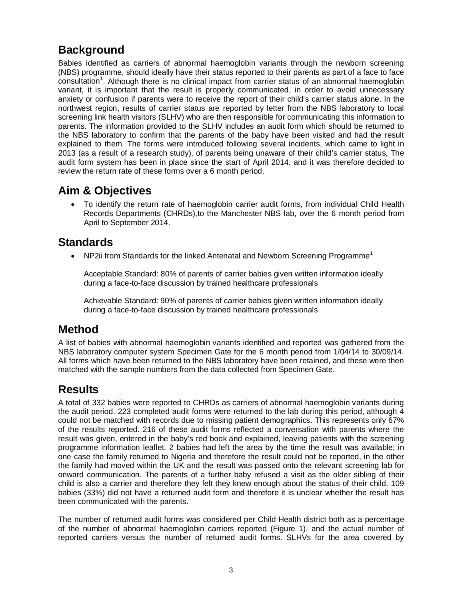## **Background**

Babies identified as carriers of abnormal haemoglobin variants through the newborn screening (NBS) programme, should ideally have their status reported to their parents as part of a face to face consultation<sup>1</sup>. Although there is no clinical impact from carrier status of an abnormal haemoglobin variant, it is important that the result is properly communicated, in order to avoid unnecessary anxiety or confusion if parents were to receive the report of their child's carrier status alone. In the northwest region, results of carrier status are reported by letter from the NBS laboratory to local screening link health visitors (SLHV) who are then responsible for communicating this information to parents. The information provided to the SLHV includes an audit form which should be returned to the NBS laboratory to confirm that the parents of the baby have been visited and had the result explained to them. The forms were introduced following several incidents, which came to light in 2013 (as a result of a research study), of parents being unaware of their child's carrier status, The audit form system has been in place since the start of April 2014, and it was therefore decided to review the return rate of these forms over a 6 month period.

### **Aim & Objectives**

� To identify the return rate of haemoglobin carrier audit forms, from individual Child Health Records Departments (CHRDs),to the Manchester NBS lab, over the 6 month period from April to September 2014.

#### **Standards**

 $\bullet$  NP2ii from Standards for the linked Antenatal and Newborn Screening Programme<sup>1</sup>

Acceptable Standard: 80% of parents of carrier babies given written information ideally during a face-to-face discussion by trained healthcare professionals

Achievable Standard: 90% of parents of carrier babies given written information ideally during a face-to-face discussion by trained healthcare professionals

#### **Method**

A list of babies with abnormal haemoglobin variants identified and reported was gathered from the NBS laboratory computer system Specimen Gate for the 6 month period from 1/04/14 to 30/09/14. All forms which have been returned to the NBS laboratory have been retained, and these were then matched with the sample numbers from the data collected from Specimen Gate.

#### **Results**

A total of 332 babies were reported to CHRDs as carriers of abnormal haemoglobin variants during the audit period. 223 completed audit forms were returned to the lab during this period, although 4 could not be matched with records due to missing patient demographics. This represents only 67% of the results reported. 216 of these audit forms reflected a conversation with parents where the result was given, entered in the baby's red book and explained, leaving patients with the screening programme information leaflet. 2 babies had left the area by the time the result was available; in one case the family returned to Nigeria and therefore the result could not be reported, in the other the family had moved within the UK and the result was passed onto the relevant screening lab for onward communication. The parents of a further baby refused a visit as the older sibling of their child is also a carrier and therefore they felt they knew enough about the status of their child. 109 babies (33%) did not have a returned audit form and therefore it is unclear whether the result has been communicated with the parents.

The number of returned audit forms was considered per Child Health district both as a percentage of the number of abnormal haemoglobin carriers reported (Figure 1), and the actual number of reported carriers versus the number of returned audit forms. SLHVs for the area covered by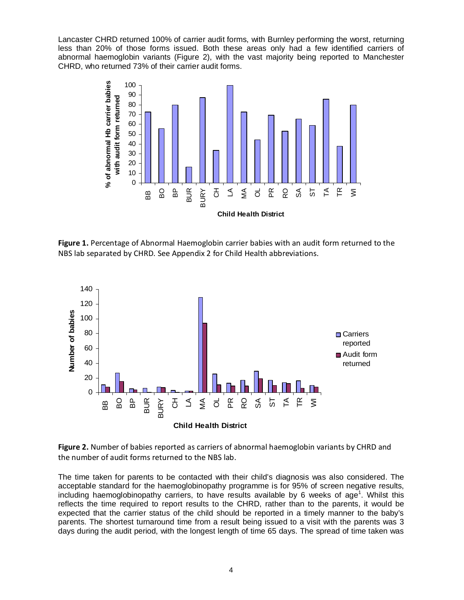Lancaster CHRD returned 100% of carrier audit forms, with Burnley performing the worst, returning less than 20% of those forms issued. Both these areas only had a few identified carriers of abnormal haemoglobin variants (Figure 2), with the vast majority being reported to Manchester CHRD, who returned 73% of their carrier audit forms.



**Figure 1.** Percentage of Abnormal Haemoglobin carrier babies with an audit form returned to the NBS lab separated by CHRD. See Appendix 2 for Child Health abbreviations.



**Figure 2.** Number of babies reported as carriers of abnormal haemoglobin variants by CHRD and the number of audit forms returned to the NBS lab.

The time taken for parents to be contacted with their child's diagnosis was also considered. The acceptable standard for the haemoglobinopathy programme is for 95% of screen negative results, including haemoglobinopathy carriers, to have results available by 6 weeks of age<sup>1</sup>. Whilst this reflects the time required to report results to the CHRD, rather than to the parents, it would be expected that the carrier status of the child should be reported in a timely manner to the baby's parents. The shortest turnaround time from a result being issued to a visit with the parents was 3 days during the audit period, with the longest length of time 65 days. The spread of time taken was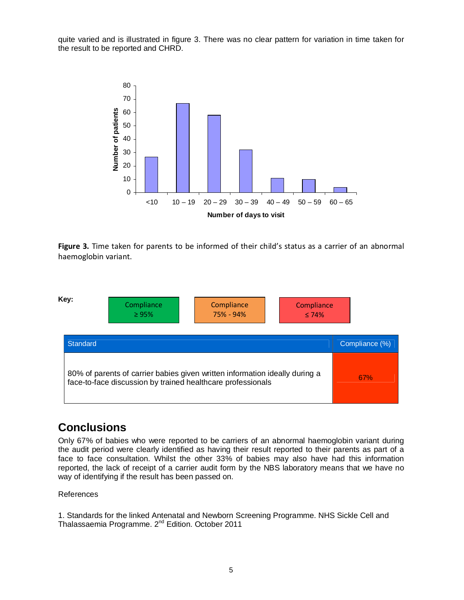quite varied and is illustrated in figure 3. There was no clear pattern for variation in time taken for the result to be reported and CHRD.



**Figure 3.** Time taken for parents to be informed of their child's status as a carrier of an abnormal haemoglobin variant.



#### **Conclusions**

Only 67% of babies who were reported to be carriers of an abnormal haemoglobin variant during the audit period were clearly identified as having their result reported to their parents as part of a face to face consultation. Whilst the other 33% of babies may also have had this information reported, the lack of receipt of a carrier audit form by the NBS laboratory means that we have no way of identifying if the result has been passed on.

#### References

1. Standards for the linked Antenatal and Newborn Screening Programme. NHS Sickle Cell and Thalassaemia Programme. 2<sup>nd</sup> Edition. October 2011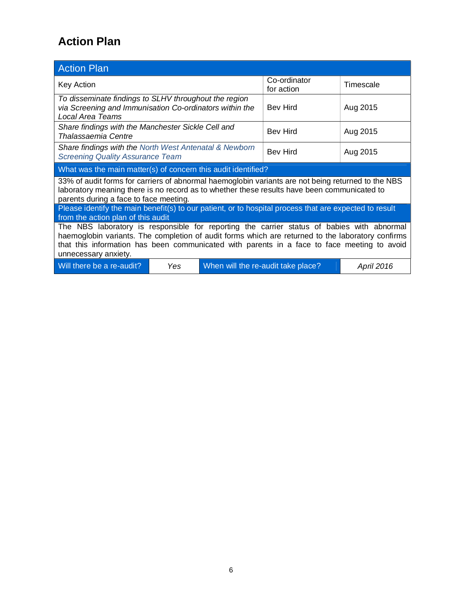# **Action Plan**

| <b>Action Plan</b>                                                                                                                                                                                                                                                                                                     |     |                                    |                            |                   |
|------------------------------------------------------------------------------------------------------------------------------------------------------------------------------------------------------------------------------------------------------------------------------------------------------------------------|-----|------------------------------------|----------------------------|-------------------|
| Key Action                                                                                                                                                                                                                                                                                                             |     |                                    | Co-ordinator<br>for action | Timescale         |
| To disseminate findings to SLHV throughout the region<br>via Screening and Immunisation Co-ordinators within the<br>Local Area Teams                                                                                                                                                                                   |     |                                    | <b>Bev Hird</b>            | Aug 2015          |
| Share findings with the Manchester Sickle Cell and<br>Thalassaemia Centre                                                                                                                                                                                                                                              |     |                                    | Bev Hird                   | Aug 2015          |
| Share findings with the North West Antenatal & Newborn<br><b>Screening Quality Assurance Team</b>                                                                                                                                                                                                                      |     |                                    | <b>Bev Hird</b>            | Aug 2015          |
| What was the main matter(s) of concern this audit identified?                                                                                                                                                                                                                                                          |     |                                    |                            |                   |
| 33% of audit forms for carriers of abnormal haemoglobin variants are not being returned to the NBS<br>laboratory meaning there is no record as to whether these results have been communicated to<br>parents during a face to face meeting.                                                                            |     |                                    |                            |                   |
| Please identify the main benefit(s) to our patient, or to hospital process that are expected to result                                                                                                                                                                                                                 |     |                                    |                            |                   |
| from the action plan of this audit                                                                                                                                                                                                                                                                                     |     |                                    |                            |                   |
| The NBS laboratory is responsible for reporting the carrier status of babies with abnormal<br>haemoglobin variants. The completion of audit forms which are returned to the laboratory confirms<br>that this information has been communicated with parents in a face to face meeting to avoid<br>unnecessary anxiety. |     |                                    |                            |                   |
| Will there be a re-audit?                                                                                                                                                                                                                                                                                              | Yes | When will the re-audit take place? |                            | <b>April 2016</b> |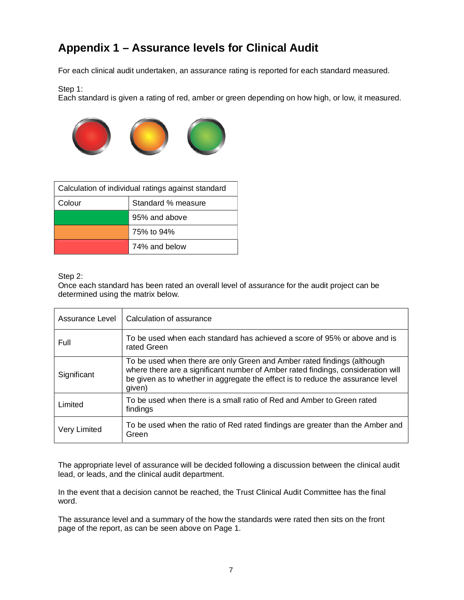# **Appendix 1 – Assurance levels for Clinical Audit**

For each clinical audit undertaken, an assurance rating is reported for each standard measured.

Step 1:

Each standard is given a rating of red, amber or green depending on how high, or low, it measured.



| Calculation of individual ratings against standard |               |  |
|----------------------------------------------------|---------------|--|
| Standard % measure<br>Colour                       |               |  |
|                                                    | 95% and above |  |
|                                                    | 75% to 94%    |  |
|                                                    | 74% and below |  |

Step 2:

Once each standard has been rated an overall level of assurance for the audit project can be determined using the matrix below.

| Assurance Level     | Calculation of assurance                                                                                                                                                                                                                                 |
|---------------------|----------------------------------------------------------------------------------------------------------------------------------------------------------------------------------------------------------------------------------------------------------|
| Full                | To be used when each standard has achieved a score of 95% or above and is<br>rated Green                                                                                                                                                                 |
| Significant         | To be used when there are only Green and Amber rated findings (although<br>where there are a significant number of Amber rated findings, consideration will<br>be given as to whether in aggregate the effect is to reduce the assurance level<br>given) |
| Limited             | To be used when there is a small ratio of Red and Amber to Green rated<br>findings                                                                                                                                                                       |
| <b>Very Limited</b> | To be used when the ratio of Red rated findings are greater than the Amber and<br>Green                                                                                                                                                                  |

The appropriate level of assurance will be decided following a discussion between the clinical audit lead, or leads, and the clinical audit department.

In the event that a decision cannot be reached, the Trust Clinical Audit Committee has the final word.

The assurance level and a summary of the how the standards were rated then sits on the front page of the report, as can be seen above on Page 1.